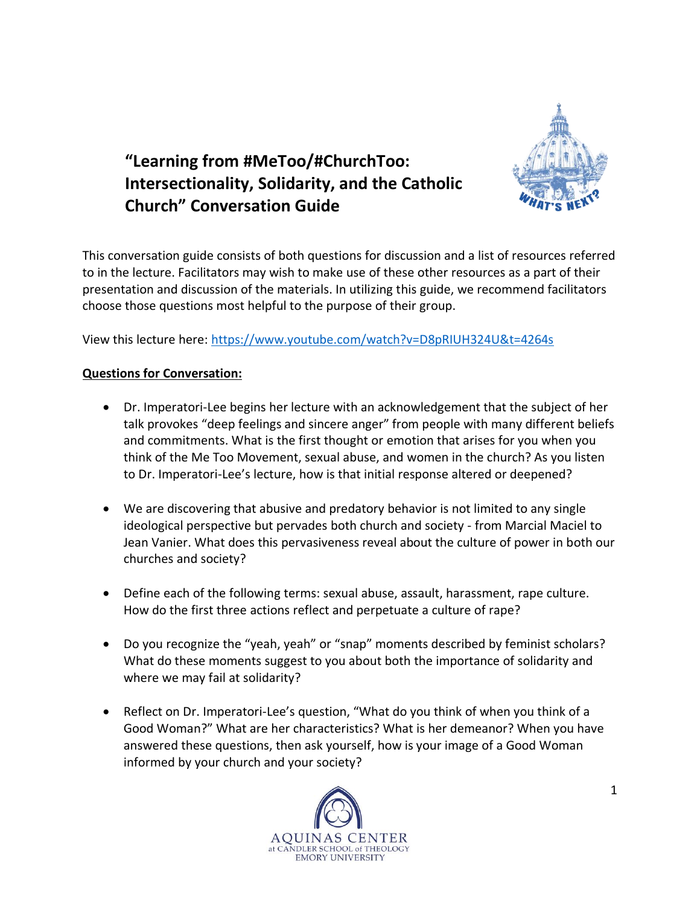

# **"Learning from #MeToo/#ChurchToo: Intersectionality, Solidarity, and the Catholic Church" Conversation Guide**

This conversation guide consists of both questions for discussion and a list of resources referred to in the lecture. Facilitators may wish to make use of these other resources as a part of their presentation and discussion of the materials. In utilizing this guide, we recommend facilitators choose those questions most helpful to the purpose of their group.

View this lecture here: <https://www.youtube.com/watch?v=D8pRIUH324U&t=4264s>

## **Questions for Conversation:**

- Dr. Imperatori-Lee begins her lecture with an acknowledgement that the subject of her talk provokes "deep feelings and sincere anger" from people with many different beliefs and commitments. What is the first thought or emotion that arises for you when you think of the Me Too Movement, sexual abuse, and women in the church? As you listen to Dr. Imperatori-Lee's lecture, how is that initial response altered or deepened?
- We are discovering that abusive and predatory behavior is not limited to any single ideological perspective but pervades both church and society - from Marcial Maciel to Jean Vanier. What does this pervasiveness reveal about the culture of power in both our churches and society?
- Define each of the following terms: sexual abuse, assault, harassment, rape culture. How do the first three actions reflect and perpetuate a culture of rape?
- Do you recognize the "yeah, yeah" or "snap" moments described by feminist scholars? What do these moments suggest to you about both the importance of solidarity and where we may fail at solidarity?
- Reflect on Dr. Imperatori-Lee's question, "What do you think of when you think of a Good Woman?" What are her characteristics? What is her demeanor? When you have answered these questions, then ask yourself, how is your image of a Good Woman informed by your church and your society?

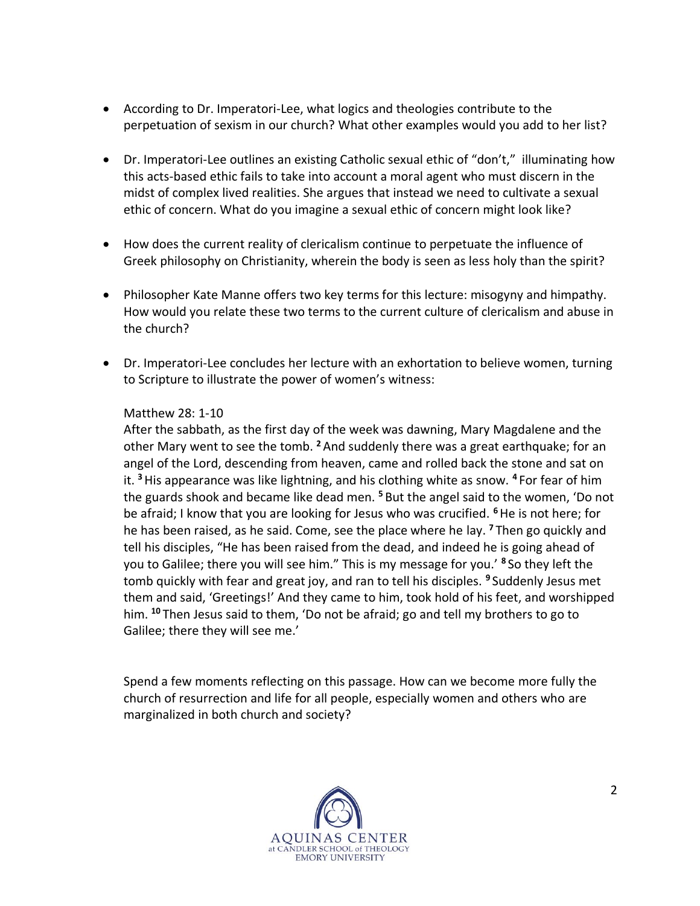- According to Dr. Imperatori-Lee, what logics and theologies contribute to the perpetuation of sexism in our church? What other examples would you add to her list?
- Dr. Imperatori-Lee outlines an existing Catholic sexual ethic of "don't," illuminating how this acts-based ethic fails to take into account a moral agent who must discern in the midst of complex lived realities. She argues that instead we need to cultivate a sexual ethic of concern. What do you imagine a sexual ethic of concern might look like?
- How does the current reality of clericalism continue to perpetuate the influence of Greek philosophy on Christianity, wherein the body is seen as less holy than the spirit?
- Philosopher Kate Manne offers two key terms for this lecture: misogyny and himpathy. How would you relate these two terms to the current culture of clericalism and abuse in the church?
- Dr. Imperatori-Lee concludes her lecture with an exhortation to believe women, turning to Scripture to illustrate the power of women's witness:

### Matthew 28: 1-10

After the sabbath, as the first day of the week was dawning, Mary Magdalene and the other Mary went to see the tomb. **<sup>2</sup>**And suddenly there was a great earthquake; for an angel of the Lord, descending from heaven, came and rolled back the stone and sat on it. **<sup>3</sup>**His appearance was like lightning, and his clothing white as snow. **<sup>4</sup>** For fear of him the guards shook and became like dead men. **<sup>5</sup>** But the angel said to the women, 'Do not be afraid; I know that you are looking for Jesus who was crucified. **<sup>6</sup>**He is not here; for he has been raised, as he said. Come, see the place where he lay. **<sup>7</sup>** Then go quickly and tell his disciples, "He has been raised from the dead, and indeed he is going ahead of you to Galilee; there you will see him." This is my message for you.' **<sup>8</sup>** So they left the tomb quickly with fear and great joy, and ran to tell his disciples. **<sup>9</sup>** Suddenly Jesus met them and said, 'Greetings!' And they came to him, took hold of his feet, and worshipped him. **<sup>10</sup>** Then Jesus said to them, 'Do not be afraid; go and tell my brothers to go to Galilee; there they will see me.'

Spend a few moments reflecting on this passage. How can we become more fully the church of resurrection and life for all people, especially women and others who are marginalized in both church and society?

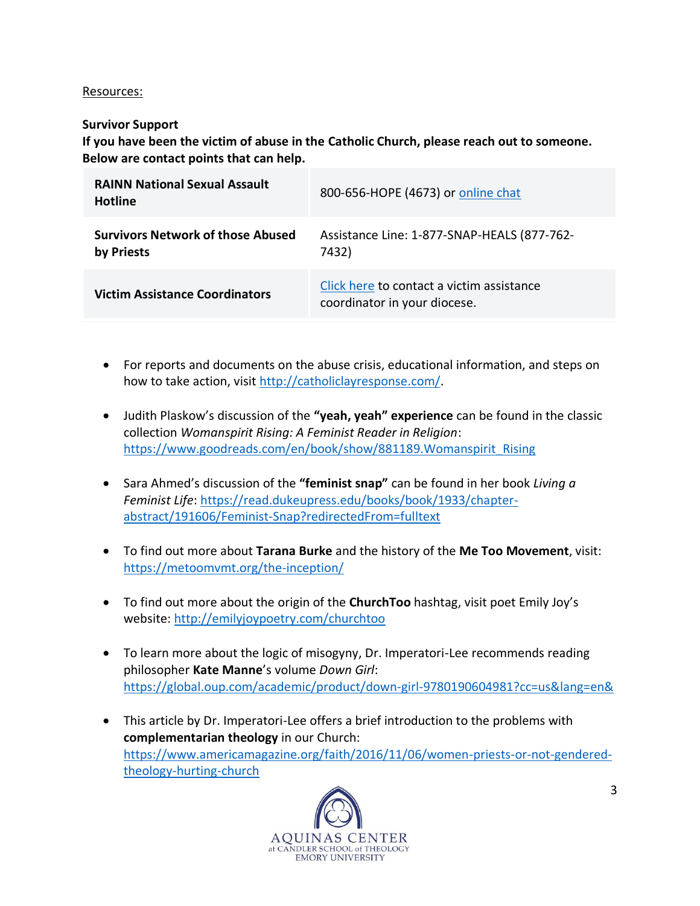#### Resources:

### **Survivor Support**

**If you have been the victim of abuse in the Catholic Church, please reach out to someone. Below are contact points that can help.**

| <b>RAINN National Sexual Assault</b><br><b>Hotline</b> | 800-656-HOPE (4673) or online chat                                        |
|--------------------------------------------------------|---------------------------------------------------------------------------|
| <b>Survivors Network of those Abused</b><br>by Priests | Assistance Line: 1-877-SNAP-HEALS (877-762-<br>7432)                      |
| <b>Victim Assistance Coordinators</b>                  | Click here to contact a victim assistance<br>coordinator in your diocese. |

- For reports and documents on the abuse crisis, educational information, and steps on how to take action, visit [http://catholiclayresponse.com/.](http://catholiclayresponse.com/)
- Judith Plaskow's discussion of the **"yeah, yeah" experience** can be found in the classic collection *Womanspirit Rising: A Feminist Reader in Religion*: [https://www.goodreads.com/en/book/show/881189.Womanspirit\\_Rising](https://www.goodreads.com/en/book/show/881189.Womanspirit_Rising)
- Sara Ahmed's discussion of the **"feminist snap"** can be found in her book *Living a Feminist Life*: [https://read.dukeupress.edu/books/book/1933/chapter](https://read.dukeupress.edu/books/book/1933/chapter-abstract/191606/Feminist-Snap?redirectedFrom=fulltext)[abstract/191606/Feminist-Snap?redirectedFrom=fulltext](https://read.dukeupress.edu/books/book/1933/chapter-abstract/191606/Feminist-Snap?redirectedFrom=fulltext)
- To find out more about **Tarana Burke** and the history of the **Me Too Movement**, visit: <https://metoomvmt.org/the-inception/>
- To find out more about the origin of the **ChurchToo** hashtag, visit poet Emily Joy's website:<http://emilyjoypoetry.com/churchtoo>
- To learn more about the logic of misogyny, Dr. Imperatori-Lee recommends reading philosopher **Kate Manne**'s volume *Down Girl*: <https://global.oup.com/academic/product/down-girl-9780190604981?cc=us&lang=en&>
- This article by Dr. Imperatori-Lee offers a brief introduction to the problems with **complementarian theology** in our Church: [https://www.americamagazine.org/faith/2016/11/06/women-priests-or-not-gendered](https://www.americamagazine.org/faith/2016/11/06/women-priests-or-not-gendered-theology-hurting-church)[theology-hurting-church](https://www.americamagazine.org/faith/2016/11/06/women-priests-or-not-gendered-theology-hurting-church)